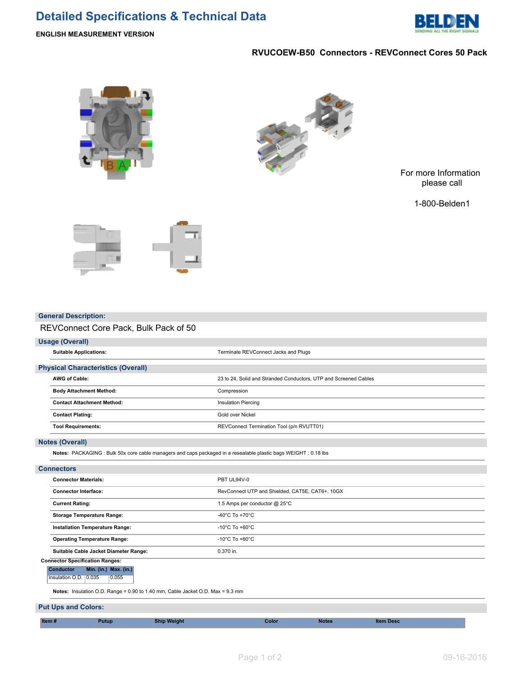# **Detailed Specifications & Technical Data**



# **RVUCOEW-B50 Connectors - REVConnect Cores 50 Pack**





For more Information please call

1-800-Belden1



#### **General Description:**

# REVConnect Core Pack, Bulk Pack of 50

# **Usage (Overall)**

|                        | <b>Suitable Applications:</b>                                                                                    | Terminate REVConnect Jacks and Plugs                             |  |  |  |  |  |  |  |
|------------------------|------------------------------------------------------------------------------------------------------------------|------------------------------------------------------------------|--|--|--|--|--|--|--|
|                        | <b>Physical Characteristics (Overall)</b>                                                                        |                                                                  |  |  |  |  |  |  |  |
|                        | <b>AWG of Cable:</b>                                                                                             | 23 to 24, Solid and Stranded Conductors, UTP and Screened Cables |  |  |  |  |  |  |  |
|                        | <b>Body Attachment Method:</b>                                                                                   | Compression<br><b>Insulation Piercing</b><br>Gold over Nickel    |  |  |  |  |  |  |  |
|                        | <b>Contact Attachment Method:</b>                                                                                |                                                                  |  |  |  |  |  |  |  |
|                        | <b>Contact Plating:</b>                                                                                          |                                                                  |  |  |  |  |  |  |  |
|                        | <b>Tool Requirements:</b>                                                                                        | REVConnect Termination Tool (p/n RVUTT01)                        |  |  |  |  |  |  |  |
| <b>Notes (Overall)</b> |                                                                                                                  |                                                                  |  |  |  |  |  |  |  |
|                        | Notes: PACKAGING : Bulk 50x core cable managers and caps packaged in a resealable plastic bags WEIGHT : 0.18 lbs |                                                                  |  |  |  |  |  |  |  |
|                        | <b>Connectors</b>                                                                                                |                                                                  |  |  |  |  |  |  |  |
|                        | <b>Connector Materials:</b>                                                                                      | PBT UL94V-0                                                      |  |  |  |  |  |  |  |
|                        | <b>Connector Interface:</b>                                                                                      | RevConnect UTP and Shielded, CAT5E, CAT6+, 10GX                  |  |  |  |  |  |  |  |
|                        | <b>Current Rating:</b>                                                                                           | 1.5 Amps per conductor @ 25°C                                    |  |  |  |  |  |  |  |

|                                                                                |                                       | Installation Temperature Range: |                                     | $-10^{\circ}$ C To $+60^{\circ}$ C |  |  |
|--------------------------------------------------------------------------------|---------------------------------------|---------------------------------|-------------------------------------|------------------------------------|--|--|
|                                                                                | <b>Operating Temperature Range:</b>   |                                 |                                     | -10°C To +60°C                     |  |  |
|                                                                                | Suitable Cable Jacket Diameter Range: |                                 |                                     | $0.370$ in.                        |  |  |
| <b>Connector Specification Ranges:</b>                                         |                                       |                                 |                                     |                                    |  |  |
|                                                                                | <b>Conductor</b>                      |                                 | <b>Min.</b> (in.) <b>Max.</b> (in.) |                                    |  |  |
|                                                                                | Insulation O.D. 10.035                |                                 | 0.055                               |                                    |  |  |
| Notes: Insulation O.D. Range = 0.90 to 1.40 mm, Cable Jacket O.D. Max = 9.3 mm |                                       |                                 |                                     |                                    |  |  |

### **Put Ups and Colors:**

| ltem # |  |  |  |
|--------|--|--|--|
|        |  |  |  |
|        |  |  |  |
|        |  |  |  |

**Storage Temperature Range:**  $-40^{\circ}$ C To +70<sup>°</sup>C

**Item # Putup Ship Weight Color Notes Item Desc**